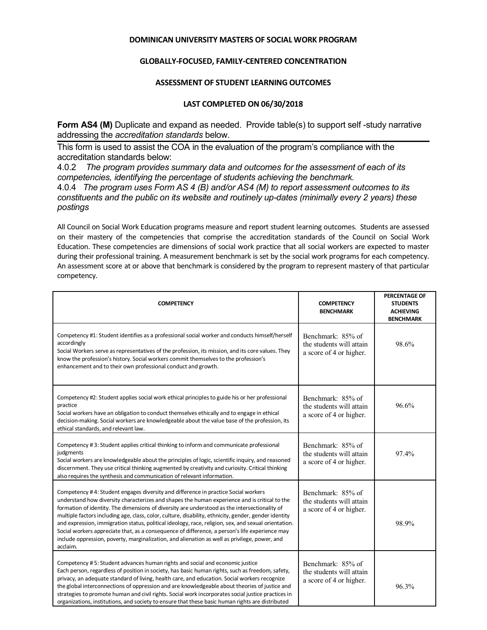## **DOMINICAN UNIVERSITY MASTERS OF SOCIAL WORK PROGRAM**

## **GLOBALLY-FOCUSED, FAMILY-CENTERED CONCENTRATION**

## **ASSESSMENT OF STUDENT LEARNING OUTCOMES**

## **LAST COMPLETED ON 06/30/2018**

**Form AS4 (M)** Duplicate and expand as needed. Provide table(s) to support self-study narrative addressing the *accreditation standards* below.

This form is used to assist the COA in the evaluation of the program's compliance with the accreditation standards below:

4.0.2 *The program provides summary data and outcomes for the assessment of each of its competencies, identifying the percentage of students achieving the benchmark.*

4.0.4 *The program uses Form AS 4 (B) and/or AS4 (M) to report assessment outcomes to its constituents and the public on its website and routinely up-dates (minimally every 2 years) these postings*

All Council on Social Work Education programs measure and report student learning outcomes. Students are assessed on their mastery of the competencies that comprise the accreditation standards of the Council on Social Work Education. These competencies are dimensions of social work practice that all social workers are expected to master during their professional training. A measurement benchmark is set by the social work programs for each competency. An assessment score at or above that benchmark is considered by the program to represent mastery of that particular competency.

| <b>COMPETENCY</b>                                                                                                                                                                                                                                                                                                                                                                                                                                                                                                                                                                                                                                                                                                    | <b>COMPETENCY</b><br><b>BENCHMARK</b>                                    | <b>PERCENTAGE OF</b><br><b>STUDENTS</b><br><b>ACHIEVING</b><br><b>BENCHMARK</b> |
|----------------------------------------------------------------------------------------------------------------------------------------------------------------------------------------------------------------------------------------------------------------------------------------------------------------------------------------------------------------------------------------------------------------------------------------------------------------------------------------------------------------------------------------------------------------------------------------------------------------------------------------------------------------------------------------------------------------------|--------------------------------------------------------------------------|---------------------------------------------------------------------------------|
| Competency #1: Student identifies as a professional social worker and conducts himself/herself<br>accordingly<br>Social Workers serve as representatives of the profession, its mission, and its core values. They<br>know the profession's history. Social workers commit themselves to the profession's<br>enhancement and to their own professional conduct and growth.                                                                                                                                                                                                                                                                                                                                           | Benchmark: 85% of<br>the students will attain<br>a score of 4 or higher. | 98.6%                                                                           |
| Competency #2: Student applies social work ethical principles to guide his or her professional<br>practice<br>Social workers have an obligation to conduct themselves ethically and to engage in ethical<br>decision-making. Social workers are knowledgeable about the value base of the profession, its<br>ethical standards, and relevant law.                                                                                                                                                                                                                                                                                                                                                                    | Benchmark: 85% of<br>the students will attain<br>a score of 4 or higher. | 96.6%                                                                           |
| Competency #3: Student applies critical thinking to inform and communicate professional<br>judgments<br>Social workers are knowledgeable about the principles of logic, scientific inquiry, and reasoned<br>discernment. They use critical thinking augmented by creativity and curiosity. Critical thinking<br>also requires the synthesis and communication of relevant information.                                                                                                                                                                                                                                                                                                                               | Benchmark: 85% of<br>the students will attain<br>a score of 4 or higher. | 97.4%                                                                           |
| Competency #4: Student engages diversity and difference in practice Social workers<br>understand how diversity characterizes and shapes the human experience and is critical to the<br>formation of identity. The dimensions of diversity are understood as the intersectionality of<br>multiple factors including age, class, color, culture, disability, ethnicity, gender, gender identity<br>and expression, immigration status, political ideology, race, religion, sex, and sexual orientation.<br>Social workers appreciate that, as a consequence of difference, a person's life experience may<br>include oppression, poverty, marginalization, and alienation as well as privilege, power, and<br>acclaim. | Benchmark: 85% of<br>the students will attain<br>a score of 4 or higher. | 98.9%                                                                           |
| Competency #5: Student advances human rights and social and economic justice<br>Each person, regardless of position in society, has basic human rights, such as freedom, safety,<br>privacy, an adequate standard of living, health care, and education. Social workers recognize<br>the global interconnections of oppression and are knowledgeable about theories of justice and<br>strategies to promote human and civil rights. Social work incorporates social justice practices in<br>organizations, institutions, and society to ensure that these basic human rights are distributed                                                                                                                         | Benchmark: 85% of<br>the students will attain<br>a score of 4 or higher. | 96.3%                                                                           |